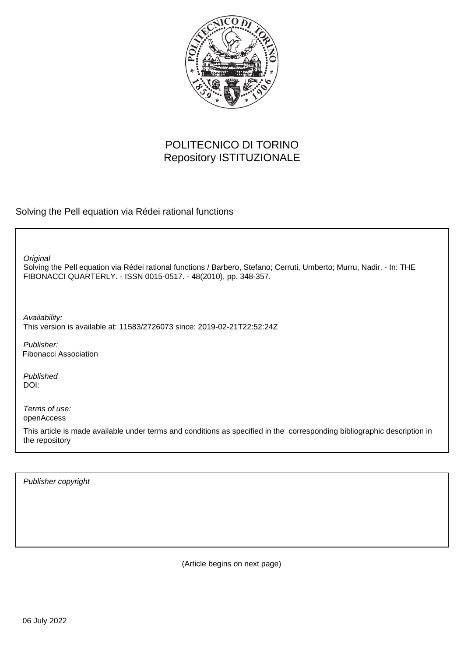

# POLITECNICO DI TORINO Repository ISTITUZIONALE

Solving the Pell equation via Rédei rational functions

**Original** 

Solving the Pell equation via Rédei rational functions / Barbero, Stefano; Cerruti, Umberto; Murru, Nadir. - In: THE FIBONACCI QUARTERLY. - ISSN 0015-0517. - 48(2010), pp. 348-357.

Availability: This version is available at: 11583/2726073 since: 2019-02-21T22:52:24Z

Publisher: Fibonacci Association

Published DOI:

Terms of use: openAccess

This article is made available under terms and conditions as specified in the corresponding bibliographic description in the repository

Publisher copyright

(Article begins on next page)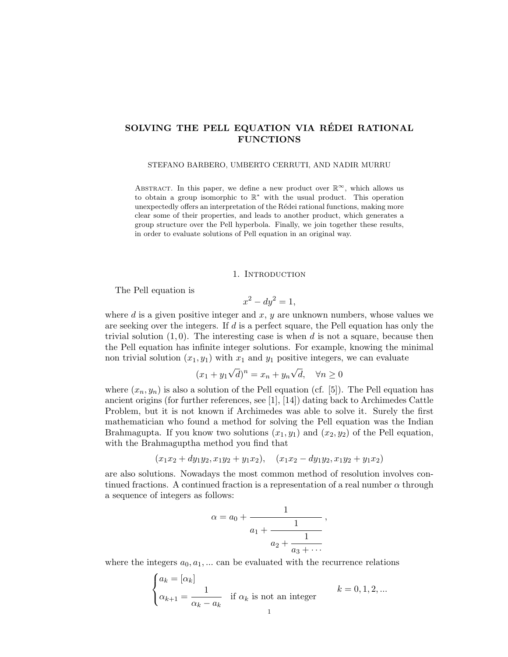## SOLVING THE PELL EQUATION VIA RÉDEI RATIONAL FUNCTIONS

#### STEFANO BARBERO, UMBERTO CERRUTI, AND NADIR MURRU

ABSTRACT. In this paper, we define a new product over  $\mathbb{R}^{\infty}$ , which allows us to obtain a group isomorphic to  $\mathbb{R}^*$  with the usual product. This operation unexpectedly offers an interpretation of the Rédei rational functions, making more clear some of their properties, and leads to another product, which generates a group structure over the Pell hyperbola. Finally, we join together these results, in order to evaluate solutions of Pell equation in an original way.

### 1. INTRODUCTION

The Pell equation is

$$
x^2 - dy^2 = 1,
$$

where  $d$  is a given positive integer and  $x, y$  are unknown numbers, whose values we are seeking over the integers. If  $d$  is a perfect square, the Pell equation has only the trivial solution  $(1, 0)$ . The interesting case is when d is not a square, because then the Pell equation has infinite integer solutions. For example, knowing the minimal non trivial solution  $(x_1, y_1)$  with  $x_1$  and  $y_1$  positive integers, we can evaluate

$$
(x_1 + y_1\sqrt{d})^n = x_n + y_n\sqrt{d}, \quad \forall n \ge 0
$$

where  $(x_n, y_n)$  is also a solution of the Pell equation (cf. [5]). The Pell equation has ancient origins (for further references, see [1], [14]) dating back to Archimedes Cattle Problem, but it is not known if Archimedes was able to solve it. Surely the first mathematician who found a method for solving the Pell equation was the Indian Brahmagupta. If you know two solutions  $(x_1, y_1)$  and  $(x_2, y_2)$  of the Pell equation, with the Brahmaguptha method you find that

$$
(x_1x_2 + dy_1y_2, x_1y_2 + y_1x_2), (x_1x_2 - dy_1y_2, x_1y_2 + y_1x_2)
$$

are also solutions. Nowadays the most common method of resolution involves continued fractions. A continued fraction is a representation of a real number  $\alpha$  through a sequence of integers as follows:

$$
\alpha = a_0 + \cfrac{1}{a_1 + \cfrac{1}{a_2 + \cfrac{1}{a_3 + \cdots}}},
$$

where the integers  $a_0, a_1, \ldots$  can be evaluated with the recurrence relations

$$
\begin{cases} a_k = [\alpha_k] \\ \alpha_{k+1} = \frac{1}{\alpha_k - a_k} & \text{if } \alpha_k \text{ is not an integer} \end{cases} \quad k = 0, 1, 2, \dots
$$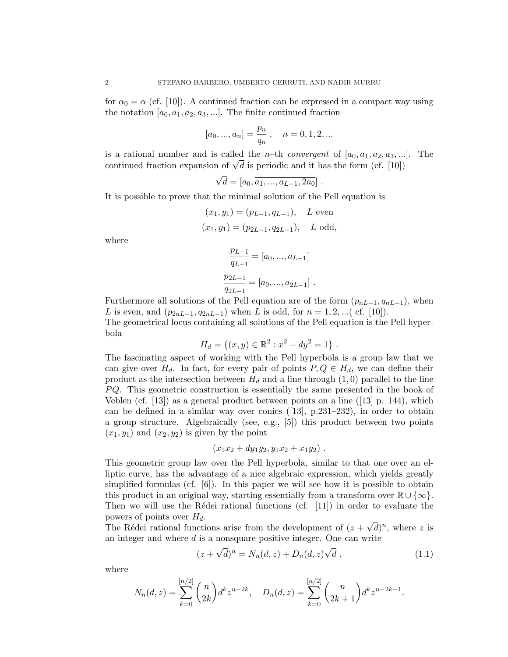for  $\alpha_0 = \alpha$  (cf. [10]). A continued fraction can be expressed in a compact way using the notation  $[a_0, a_1, a_2, a_3, \ldots]$ . The finite continued fraction

$$
[a_0, ..., a_n] = \frac{p_n}{q_n}, \quad n = 0, 1, 2, ...
$$

is a rational number and is called the *n*-th *convergent* of  $[a_0, a_1, a_2, a_3, \ldots]$ . The is a rational number and is called the *n*-th *convergent* of  $[a_0, a_1, a_2, a_3, ...$ <br>continued fraction expansion of  $\sqrt{d}$  is periodic and it has the form (cf. [10])

$$
\sqrt{d} = [a_0, a_1, ..., a_{L-1}, 2a_0].
$$

It is possible to prove that the minimal solution of the Pell equation is

$$
(x_1, y_1) = (p_{L-1}, q_{L-1}), \quad L \text{ even}
$$
  
 $(x_1, y_1) = (p_{2L-1}, q_{2L-1}), \quad L \text{ odd},$ 

where

$$
\frac{p_{L-1}}{q_{L-1}} = [a_0, ..., a_{L-1}]
$$
  

$$
\frac{p_{2L-1}}{q_{2L-1}} = [a_0, ..., a_{2L-1}].
$$

Furthermore all solutions of the Pell equation are of the form  $(p_{nL-1}, q_{nL-1})$ , when L is even, and  $(p_{2nL-1}, q_{2nL-1})$  when L is odd, for  $n = 1, 2, ...$  (cf. [10]). The geometrical locus containing all solutions of the Pell equation is the Pell hyperbola

$$
H_d = \{(x, y) \in \mathbb{R}^2 : x^2 - dy^2 = 1\}.
$$

The fascinating aspect of working with the Pell hyperbola is a group law that we can give over  $H_d$ . In fact, for every pair of points  $P, Q \in H_d$ , we can define their product as the intersection between  $H_d$  and a line through  $(1,0)$  parallel to the line  $PQ$ . This geometric construction is essentially the same presented in the book of Veblen (cf.  $[13]$ ) as a general product between points on a line ( $[13]$  p. 144), which can be defined in a similar way over conics  $([13], p.231-232)$ , in order to obtain a group structure. Algebraically (see, e.g., [5]) this product between two points  $(x_1, y_1)$  and  $(x_2, y_2)$  is given by the point

$$
(x_1x_2 + dy_1y_2, y_1x_2 + x_1y_2).
$$

This geometric group law over the Pell hyperbola, similar to that one over an elliptic curve, has the advantage of a nice algebraic expression, which yields greatly simplified formulas (cf.  $[6]$ ). In this paper we will see how it is possible to obtain this product in an original way, starting essentially from a transform over  $\mathbb{R} \cup \{\infty\}$ . Then we will use the Rédei rational functions (cf.  $[11]$ ) in order to evaluate the powers of points over  $H_d$ . √

The Rédei rational functions arise from the development of  $(z +$  $\overline{d})^n$ , where z is an integer and where  $d$  is a nonsquare positive integer. One can write √ √

$$
(z + \sqrt{d})^n = N_n(d, z) + D_n(d, z)\sqrt{d} , \qquad (1.1)
$$

where

$$
N_n(d,z) = \sum_{k=0}^{[n/2]} \binom{n}{2k} d^k z^{n-2k}, \quad D_n(d,z) = \sum_{k=0}^{[n/2]} \binom{n}{2k+1} d^k z^{n-2k-1}.
$$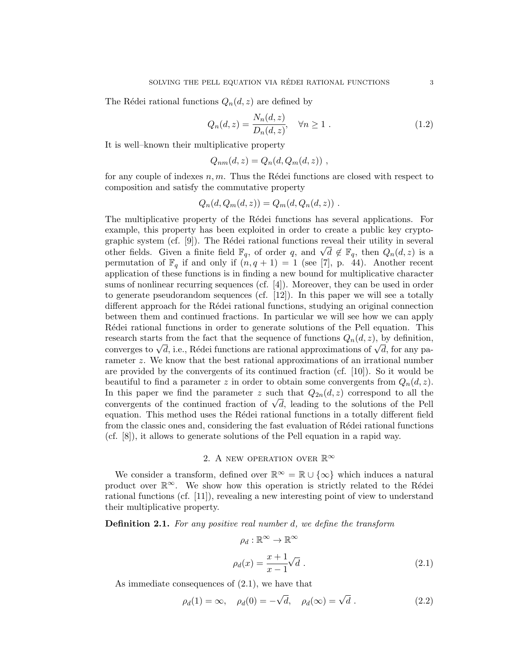The Rédei rational functions  $Q_n(d, z)$  are defined by

$$
Q_n(d, z) = \frac{N_n(d, z)}{D_n(d, z)}, \quad \forall n \ge 1.
$$
\n
$$
(1.2)
$$

It is well–known their multiplicative property

$$
Q_{nm}(d,z) = Q_n(d, Q_m(d,z)) ,
$$

for any couple of indexes  $n, m$ . Thus the Rédei functions are closed with respect to composition and satisfy the commutative property

$$
Q_n(d, Q_m(d, z)) = Q_m(d, Q_n(d, z)) .
$$

The multiplicative property of the Rédei functions has several applications. For example, this property has been exploited in order to create a public key cryptographic system (cf.  $[9]$ ). The Rédei rational functions reveal their utility in several graphic system (ci. [9]). The Reder rational functions reveal their utility in several other fields. Given a finite field  $\mathbb{F}_q$ , of order q, and  $\sqrt{d} \notin \mathbb{F}_q$ , then  $Q_n(d,z)$  is a permutation of  $\mathbb{F}_q$  if and only if  $(n, q + 1) = 1$  (see [7], p. 44). Another recent application of these functions is in finding a new bound for multiplicative character sums of nonlinear recurring sequences (cf. [4]). Moreover, they can be used in order to generate pseudorandom sequences (cf. [12]). In this paper we will see a totally different approach for the Rédei rational functions, studying an original connection between them and continued fractions. In particular we will see how we can apply Rédei rational functions in order to generate solutions of the Pell equation. This research starts from the fact that the sequence of functions  $Q_n(d, z)$ , by definition, research starts from the fact that the sequence of functions  $Q_n(a, z)$ , by definition,<br>converges to  $\sqrt{d}$ , i.e., Rédei functions are rational approximations of  $\sqrt{d}$ , for any parameter z. We know that the best rational approximations of an irrational number are provided by the convergents of its continued fraction (cf. [10]). So it would be beautiful to find a parameter z in order to obtain some convergents from  $Q_n(d, z)$ . In this paper we find the parameter z such that  $Q_{2n}(d, z)$  correspond to all the In this paper we find the parameter z such that  $Q_{2n}(a, z)$  correspond to all the convergents of the continued fraction of  $\sqrt{d}$ , leading to the solutions of the Pell equation. This method uses the Rédei rational functions in a totally different field from the classic ones and, considering the fast evaluation of Rédei rational functions (cf. [8]), it allows to generate solutions of the Pell equation in a rapid way.

## 2. A NEW OPERATION OVER  $\mathbb{R}^{\infty}$

We consider a transform, defined over  $\mathbb{R}^{\infty} = \mathbb{R} \cup {\infty}$  which induces a natural product over  $\mathbb{R}^{\infty}$ . We show how this operation is strictly related to the Rédei rational functions (cf. [11]), revealing a new interesting point of view to understand their multiplicative property.

 $\rho_d:\mathbb{R}^\infty\to\mathbb{R}^\infty$ 

**Definition 2.1.** For any positive real number d, we define the transform

$$
\rho_d(x) = \frac{x+1}{x-1} \sqrt{d} \ . \tag{2.1}
$$

As immediate consequences of (2.1), we have that

$$
\rho_d(1) = \infty, \quad \rho_d(0) = -\sqrt{d}, \quad \rho_d(\infty) = \sqrt{d}.
$$
\n(2.2)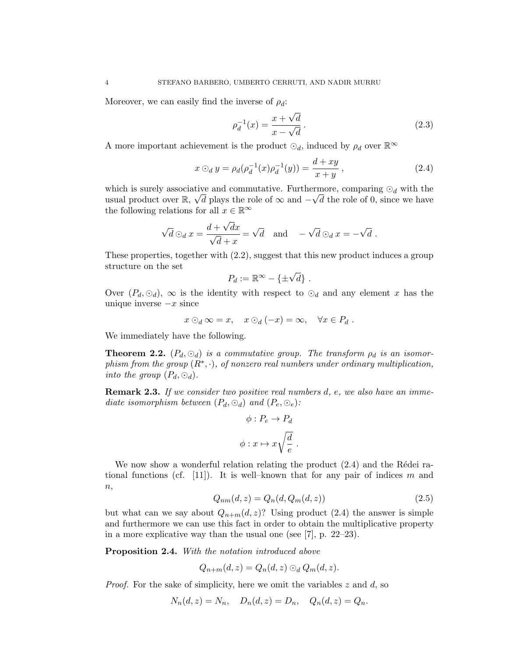Moreover, we can easily find the inverse of  $\rho_d$ :

$$
\rho_d^{-1}(x) = \frac{x + \sqrt{d}}{x - \sqrt{d}}.
$$
\n(2.3)

A more important achievement is the product  $\odot_d$ , induced by  $\rho_d$  over  $\mathbb{R}^\infty$ 

$$
x \odot_d y = \rho_d(\rho_d^{-1}(x)\rho_d^{-1}(y)) = \frac{d+xy}{x+y},
$$
\n(2.4)

which is surely associative and commutative. Furthermore, comparing  $\odot_d$  with the usual product over  $\mathbb{R}, \sqrt{d}$  plays the role of  $\infty$  and  $-\sqrt{d}$  the role of 0, since we have the following relations for all  $x \in \mathbb{R}^{\infty}$ 

$$
\sqrt{d}\odot_d x = \frac{d+\sqrt{d}x}{\sqrt{d}+x} = \sqrt{d} \text{ and } -\sqrt{d}\odot_d x = -\sqrt{d}.
$$

These properties, together with (2.2), suggest that this new product induces a group structure on the set

$$
P_d := \mathbb{R}^{\infty} - \{\pm \sqrt{d}\}.
$$

Over  $(P_d, \odot_d)$ ,  $\infty$  is the identity with respect to  $\odot_d$  and any element x has the unique inverse  $-x$  since

$$
x \odot_d \infty = x, \quad x \odot_d (-x) = \infty, \quad \forall x \in P_d .
$$

We immediately have the following.

**Theorem 2.2.**  $(P_d, \odot_d)$  is a commutative group. The transform  $\rho_d$  is an isomorphism from the group  $(R^*, \cdot)$ , of nonzero real numbers under ordinary multiplication, into the group  $(P_d, \odot_d)$ .

**Remark 2.3.** If we consider two positive real numbers d, e, we also have an immediate isomorphism between  $(P_d, \odot_d)$  and  $(P_e, \odot_e)$ :

$$
\phi: P_e \to P_d
$$

$$
\phi: x \mapsto x\sqrt{\frac{d}{e}}
$$

.

We now show a wonderful relation relating the product  $(2.4)$  and the Rédei rational functions (cf. [11]). It is well–known that for any pair of indices m and  $n,$ 

$$
Q_{nm}(d,z) = Q_n(d, Q_m(d,z))
$$
\n
$$
(2.5)
$$

but what can we say about  $Q_{n+m}(d, z)$ ? Using product (2.4) the answer is simple and furthermore we can use this fact in order to obtain the multiplicative property in a more explicative way than the usual one (see [7], p. 22–23).

Proposition 2.4. With the notation introduced above

$$
Q_{n+m}(d,z) = Q_n(d,z) \odot_d Q_m(d,z).
$$

*Proof.* For the sake of simplicity, here we omit the variables  $z$  and  $d$ , so

$$
N_n(d, z) = N_n
$$
,  $D_n(d, z) = D_n$ ,  $Q_n(d, z) = Q_n$ .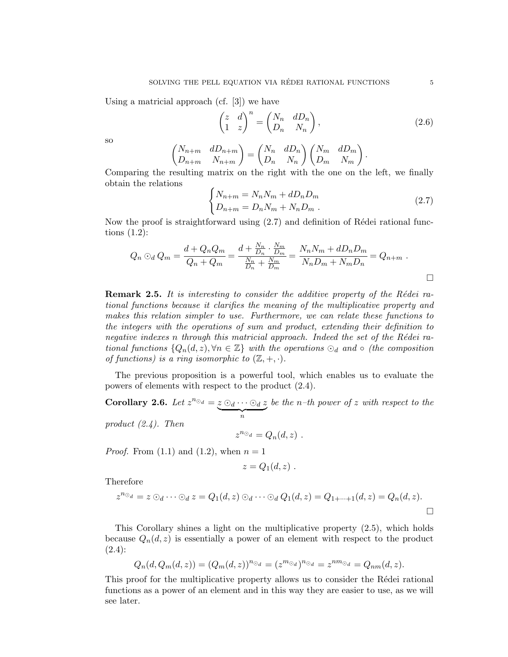Using a matricial approach (cf. [3]) we have

$$
\begin{pmatrix} z & d \\ 1 & z \end{pmatrix}^n = \begin{pmatrix} N_n & dD_n \\ D_n & N_n \end{pmatrix},
$$
\n(2.6)

so

$$
\begin{pmatrix} N_{n+m} & dD_{n+m} \\ D_{n+m} & N_{n+m} \end{pmatrix} = \begin{pmatrix} N_n & dD_n \\ D_n & N_n \end{pmatrix} \begin{pmatrix} N_m & dD_m \\ D_m & N_m \end{pmatrix}.
$$

Comparing the resulting matrix on the right with the one on the left, we finally obtain the relations

$$
\begin{cases}\nN_{n+m} = N_n N_m + dD_n D_m \\
D_{n+m} = D_n N_m + N_n D_m \,.\n\end{cases} \tag{2.7}
$$

Now the proof is straightforward using  $(2.7)$  and definition of Rédei rational functions (1.2):

$$
Q_n \odot_d Q_m = \frac{d + Q_n Q_m}{Q_n + Q_m} = \frac{d + \frac{N_n}{D_n} \cdot \frac{N_m}{D_m}}{\frac{N_n}{D_n} + \frac{N_m}{D_m}} = \frac{N_n N_m + dD_n D_m}{N_n D_m + N_m D_n} = Q_{n+m} .
$$

**Remark 2.5.** It is interesting to consider the additive property of the Rédei rational functions because it clarifies the meaning of the multiplicative property and makes this relation simpler to use. Furthermore, we can relate these functions to the integers with the operations of sum and product, extending their definition to negative indexes n through this matricial approach. Indeed the set of the Rédei rational functions  $\{Q_n(d,z), \forall n \in \mathbb{Z}\}\$  with the operations  $\odot_d$  and  $\circ$  (the composition of functions) is a ring isomorphic to  $(\mathbb{Z}, +, \cdot)$ .

The previous proposition is a powerful tool, which enables us to evaluate the powers of elements with respect to the product (2.4).

Corollary 2.6. Let  $z^{n_{\odot_d}} = z \odot_d \cdots \odot_d z$  $\overbrace{n}$ be the  $n$ -th power of z with respect to the product  $(2.4)$ . Then

$$
z^{n_{\odot_d}} = Q_n(d,z) \ .
$$

*Proof.* From  $(1.1)$  and  $(1.2)$ , when  $n = 1$ 

$$
z=Q_1(d,z)\;.
$$

Therefore

$$
z^{n_{\odot_d}} = z \odot_d \cdots \odot_d z = Q_1(d, z) \odot_d \cdots \odot_d Q_1(d, z) = Q_{1+\cdots+1}(d, z) = Q_n(d, z).
$$

This Corollary shines a light on the multiplicative property (2.5), which holds because  $Q_n(d, z)$  is essentially a power of an element with respect to the product  $(2.4):$ 

$$
Q_n(d, Q_m(d, z)) = (Q_m(d, z))^{n_{\odot_d}} = (z^{m_{\odot_d}})^{n_{\odot_d}} = z^{nm_{\odot_d}} = Q_{nm}(d, z).
$$

This proof for the multiplicative property allows us to consider the Rédei rational functions as a power of an element and in this way they are easier to use, as we will see later.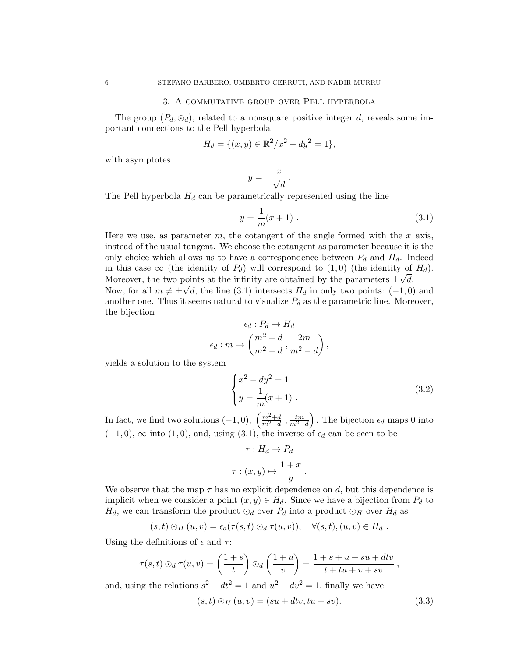## 3. A commutative group over Pell hyperbola

The group  $(P_d, \odot_d)$ , related to a nonsquare positive integer d, reveals some important connections to the Pell hyperbola

$$
H_d = \{ (x, y) \in \mathbb{R}^2 / x^2 - dy^2 = 1 \},\
$$

with asymptotes

$$
y = \pm \frac{x}{\sqrt{d}}.
$$

The Pell hyperbola  $H_d$  can be parametrically represented using the line

$$
y = \frac{1}{m}(x+1) \tag{3.1}
$$

Here we use, as parameter m, the cotangent of the angle formed with the  $x$ –axis, instead of the usual tangent. We choose the cotangent as parameter because it is the only choice which allows us to have a correspondence between  $P_d$  and  $H_d$ . Indeed in this case  $\infty$  (the identity of  $P_d$ ) will correspond to  $(1,0)$  (the identity of  $H_d$ ). Moreover, the two points at the infinity are obtained by the parameters  $\pm \sqrt{d}$ . Now, for all  $m \neq \pm \sqrt{d}$ , the line (3.1) intersects  $H_d$  in only two points: (-1,0) and another one. Thus it seems natural to visualize  $P_d$  as the parametric line. Moreover, the bijection

$$
\epsilon_d: P_d \to H_d
$$

$$
\epsilon_d: m \mapsto \left(\frac{m^2 + d}{m^2 - d}, \frac{2m}{m^2 - d}\right),
$$

yields a solution to the system

$$
\begin{cases}\nx^2 - dy^2 = 1 \\
y = \frac{1}{m}(x+1)\n\end{cases} (3.2)
$$

In fact, we find two solutions  $(-1,0), \ \left(\frac{m^2+d}{m^2-d}\right)$  $\frac{m^2+d}{m^2-d}$ ,  $\frac{2m}{m^2-d}$ ). The bijection  $\epsilon_d$  maps 0 into  $(-1, 0)$ ,  $\infty$  into  $(1, 0)$ , and, using  $(3.1)$ , the inverse of  $\epsilon_d$  can be seen to be

$$
\tau: H_d \to P_d
$$

$$
\tau: (x, y) \mapsto \frac{1+x}{y} .
$$

We observe that the map  $\tau$  has no explicit dependence on d, but this dependence is implicit when we consider a point  $(x, y) \in H_d$ . Since we have a bijection from  $P_d$  to  $H_d$ , we can transform the product  $\odot_d$  over  $P_d$  into a product  $\odot_H$  over  $H_d$  as

$$
(s,t)\odot_H(u,v)=\epsilon_d(\tau(s,t)\odot_d\tau(u,v)),\quad \forall (s,t),(u,v)\in H_d.
$$

Using the definitions of  $\epsilon$  and  $\tau$ :

$$
\tau(s,t) \odot_d \tau(u,v) = \left(\frac{1+s}{t}\right) \odot_d \left(\frac{1+u}{v}\right) = \frac{1+s+u+su+dtv}{t+tu+v+sv},
$$

and, using the relations  $s^2 - dt^2 = 1$  and  $u^2 - dv^2 = 1$ , finally we have

$$
(s,t) O_H(u,v) = (su + dtv, tu + sv).
$$
 (3.3)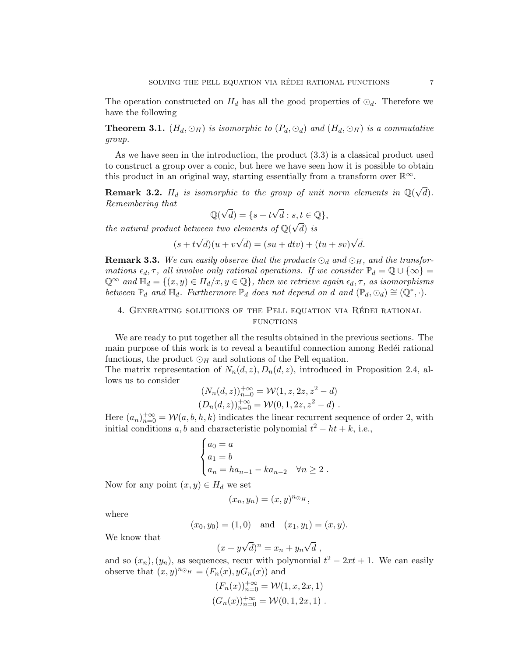The operation constructed on  $H_d$  has all the good properties of  $\odot_d$ . Therefore we have the following

**Theorem 3.1.**  $(H_d, \odot_H)$  is isomorphic to  $(P_d, \odot_d)$  and  $(H_d, \odot_H)$  is a commutative group.

As we have seen in the introduction, the product (3.3) is a classical product used to construct a group over a conic, but here we have seen how it is possible to obtain this product in an original way, starting essentially from a transform over  $\mathbb{R}^{\infty}$ .

**Remark 3.2.**  $H_d$  is isomorphic to the group of unit norm elements in  $\mathbb{Q}(\sqrt{\frac{m}{n}})$  $d).$ Remembering that √ √

$$
\mathbb{Q}(\sqrt{d}) = \{s + t\sqrt{d} : s, t \in \mathbb{Q}\},\
$$

the natural product between two elements of  $\mathbb{Q}(\sqrt{d})$  $d)$  is

 $(s + t)$ √  $d)(u + v)$ √  $d) = (su + dtv) + (tu + sv)$ √ d.

**Remark 3.3.** We can easily observe that the products  $\odot_d$  and  $\odot_H$ , and the transformations  $\epsilon_d, \tau$ , all involve only rational operations. If we consider  $\mathbb{P}_d = \mathbb{Q} \cup \{\infty\} =$  $\mathbb{Q}^{\infty}$  and  $\mathbb{H}_d = \{(x, y) \in H_d/x, y \in \mathbb{Q}\}\$ , then we retrieve again  $\epsilon_d, \tau$ , as isomorphisms between  $\mathbb{P}_d$  and  $\mathbb{H}_d$ . Furthermore  $\mathbb{P}_d$  does not depend on d and  $(\mathbb{P}_d, \odot_d) \cong (\mathbb{Q}^*, \cdot)$ .

## 4. GENERATING SOLUTIONS OF THE PELL EQUATION VIA RÉDEI RATIONAL **FUNCTIONS**

We are ready to put together all the results obtained in the previous sections. The main purpose of this work is to reveal a beautiful connection among Redéi rational functions, the product  $\odot_H$  and solutions of the Pell equation.

The matrix representation of  $N_n(d, z)$ ,  $D_n(d, z)$ , introduced in Proposition 2.4, allows us to consider

$$
(N_n(d, z))_{n=0}^{+\infty} = \mathcal{W}(1, z, 2z, z^2 - d)
$$
  

$$
(D_n(d, z))_{n=0}^{+\infty} = \mathcal{W}(0, 1, 2z, z^2 - d).
$$

Here  $(a_n)_{n=0}^{+\infty} = \mathcal{W}(a, b, h, k)$  indicates the linear recurrent sequence of order 2, with initial conditions a, b and characteristic polynomial  $t^2 - ht + k$ , i.e.,

$$
\begin{cases}\na_0 = a \\
a_1 = b \\
a_n = ha_{n-1} - ka_{n-2} \quad \forall n \ge 2.\n\end{cases}
$$

Now for any point  $(x, y) \in H_d$  we set

$$
(x_n,y_n)=(x,y)^{n_{\odot}H},
$$

where

$$
(x_0, y_0) = (1, 0)
$$
 and  $(x_1, y_1) = (x, y)$ .

We know that

$$
(x + y\sqrt{d})^n = x_n + y_n\sqrt{d} ,
$$

and so  $(x_n), (y_n)$ , as sequences, recur with polynomial  $t^2 - 2xt + 1$ . We can easily observe that  $(x, y)^{n_{\odot} H} = (F_n(x), yG_n(x))$  and

$$
(F_n(x))_{n=0}^{+\infty} = \mathcal{W}(1, x, 2x, 1)
$$
  

$$
(G_n(x))_{n=0}^{+\infty} = \mathcal{W}(0, 1, 2x, 1).
$$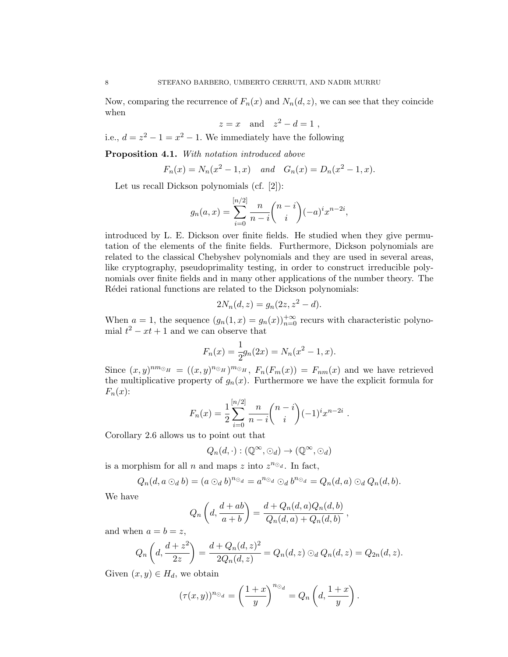Now, comparing the recurrence of  $F_n(x)$  and  $N_n(d, z)$ , we can see that they coincide when

$$
z = x \quad \text{and} \quad z^2 - d = 1 \;,
$$

i.e.,  $d = z^2 - 1 = x^2 - 1$ . We immediately have the following

Proposition 4.1. With notation introduced above

$$
F_n(x) = N_n(x^2 - 1, x)
$$
 and  $G_n(x) = D_n(x^2 - 1, x)$ .

Let us recall Dickson polynomials (cf. [2]):

$$
g_n(a,x) = \sum_{i=0}^{\lfloor n/2 \rfloor} \frac{n}{n-i} {n-i \choose i} (-a)^i x^{n-2i},
$$

introduced by L. E. Dickson over finite fields. He studied when they give permutation of the elements of the finite fields. Furthermore, Dickson polynomials are related to the classical Chebyshev polynomials and they are used in several areas, like cryptography, pseudoprimality testing, in order to construct irreducible polynomials over finite fields and in many other applications of the number theory. The Rédei rational functions are related to the Dickson polynomials:

$$
2N_n(d,z) = g_n(2z, z^2 - d).
$$

When  $a = 1$ , the sequence  $(g_n(1, x) = g_n(x))_{n=0}^{+\infty}$  recurs with characteristic polynomial  $t^2 - xt + 1$  and we can observe that

$$
F_n(x) = \frac{1}{2}g_n(2x) = N_n(x^2 - 1, x).
$$

Since  $(x, y)^{nm_{\odot}H} = ((x, y)^{n_{\odot}H})^{m_{\odot}H}$ ,  $F_n(F_m(x)) = F_{nm}(x)$  and we have retrieved the multiplicative property of  $g_n(x)$ . Furthermore we have the explicit formula for  $F_n(x)$ :

$$
F_n(x) = \frac{1}{2} \sum_{i=0}^{[n/2]} \frac{n}{n-i} {n-i \choose i} (-1)^i x^{n-2i}.
$$

Corollary 2.6 allows us to point out that

$$
Q_n(d,\cdot):(\mathbb{Q}^{\infty},\odot_d)\to(\mathbb{Q}^{\infty},\odot_d)
$$

is a morphism for all *n* and maps z into  $z^{n_{\odot_d}}$ . In fact,

$$
Q_n(d, a \odot_d b) = (a \odot_d b)^{n \odot_d} = a^{n \odot_d} \odot_d b^{n \odot_d} = Q_n(d, a) \odot_d Q_n(d, b).
$$

We have

$$
Q_n\left(d, \frac{d+ab}{a+b}\right) = \frac{d+Q_n(d,a)Q_n(d,b)}{Q_n(d,a)+Q_n(d,b)},
$$

and when  $a = b = z$ ,

$$
Q_n\left(d, \frac{d+z^2}{2z}\right) = \frac{d+Q_n(d,z)^2}{2Q_n(d,z)} = Q_n(d,z) \odot_d Q_n(d,z) = Q_{2n}(d,z).
$$

Given  $(x, y) \in H_d$ , we obtain

$$
(\tau(x,y))^{n_{\odot_d}} = \left(\frac{1+x}{y}\right)^{n_{\odot_d}} = Q_n\left(d, \frac{1+x}{y}\right).
$$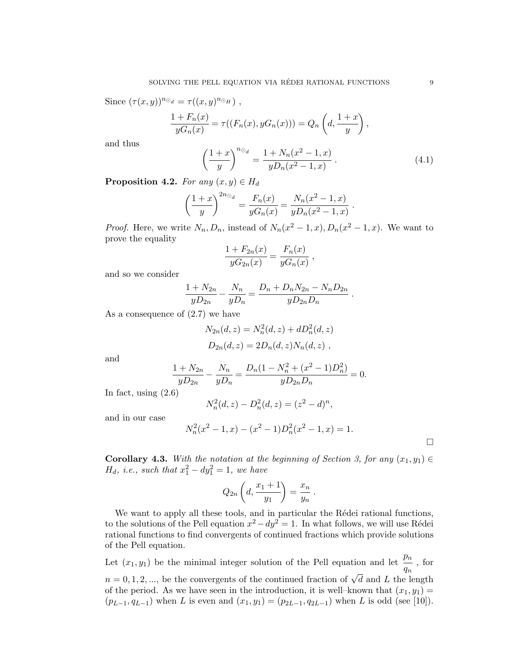Since  $(\tau(x,y))^{n_{\odot_d}} = \tau((x,y)^{n_{\odot_H}})$ ,

$$
\frac{1 + F_n(x)}{yG_n(x)} = \tau((F_n(x), yG_n(x))) = Q_n\left(d, \frac{1+x}{y}\right),
$$

and thus

$$
\left(\frac{1+x}{y}\right)^{n_{\odot_d}} = \frac{1+N_n(x^2-1,x)}{yD_n(x^2-1,x)}\,. \tag{4.1}
$$

.

**Proposition 4.2.** For any  $(x, y) \in H_d$ 

$$
\left(\frac{1+x}{y}\right)^{2n_{\odot_d}} = \frac{F_n(x)}{yG_n(x)} = \frac{N_n(x^2-1, x)}{yD_n(x^2-1, x)}
$$

*Proof.* Here, we write  $N_n, D_n$ , instead of  $N_n(x^2 - 1, x), D_n(x^2 - 1, x)$ . We want to prove the equality

$$
\frac{1 + F_{2n}(x)}{yG_{2n}(x)} = \frac{F_n(x)}{yG_n(x)},
$$

and so we consider

$$
\frac{1+N_{2n}}{yD_{2n}} - \frac{N_n}{yD_n} = \frac{D_n + D_n N_{2n} - N_n D_{2n}}{yD_{2n}D_n}.
$$

As a consequence of (2.7) we have

$$
N_{2n}(d, z) = N_n^2(d, z) + dD_n^2(d, z)
$$
  

$$
D_{2n}(d, z) = 2D_n(d, z)N_n(d, z) ,
$$

and

$$
\frac{1+N_{2n}}{yD_{2n}} - \frac{N_n}{yD_n} = \frac{D_n(1-N_n^2 + (x^2 - 1)D_n^2)}{yD_{2n}D_n} = 0.
$$

In fact, using  $(2.6)$ 

$$
N_n^2(d, z) - D_n^2(d, z) = (z^2 - d)^n,
$$

and in our case

$$
N_n^2(x^2 - 1, x) - (x^2 - 1)D_n^2(x^2 - 1, x) = 1.
$$

Corollary 4.3. With the notation at the beginning of Section 3, for any  $(x_1, y_1) \in$  $H_d$ , *i.e.*, such that  $x_1^2 - dy_1^2 = 1$ , we have

$$
Q_{2n}\left(d,\frac{x_1+1}{y_1}\right)=\frac{x_n}{y_n}.
$$

We want to apply all these tools, and in particular the Rédei rational functions, to the solutions of the Pell equation  $x^2 - dy^2 = 1$ . In what follows, we will use Rédei rational functions to find convergents of continued fractions which provide solutions of the Pell equation.

Let  $(x_1, y_1)$  be the minimal integer solution of the Pell equation and let  $\frac{p_n}{q_n}$ , for  $n = 0, 1, 2, \dots$ , be the convergents of the continued fraction of  $\sqrt{d}$  and L the length of the period. As we have seen in the introduction, it is well–known that  $(x_1, y_1) =$  $(p_{L-1}, q_{L-1})$  when L is even and  $(x_1, y_1) = (p_{2L-1}, q_{2L-1})$  when L is odd (see [10]).

 $\Box$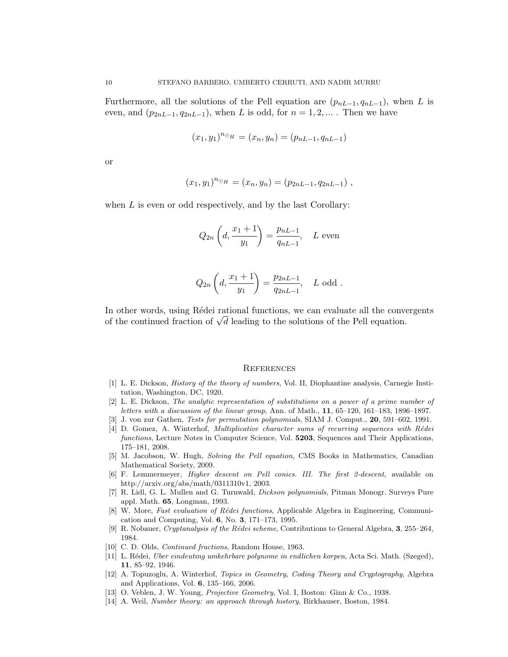Furthermore, all the solutions of the Pell equation are  $(p_{nL-1}, q_{nL-1})$ , when L is even, and  $(p_{2nL-1}, q_{2nL-1})$ , when L is odd, for  $n = 1, 2, \ldots$ . Then we have

$$
(x_1, y_1)^{n_{\odot} H} = (x_n, y_n) = (p_{nL-1}, q_{nL-1})
$$

or

$$
(x_1, y_1)^{n_{\odot} H} = (x_n, y_n) = (p_{2nL-1}, q_{2nL-1}),
$$

when  $L$  is even or odd respectively, and by the last Corollary:

$$
Q_{2n}\left(d, \frac{x_1+1}{y_1}\right) = \frac{p_{nL-1}}{q_{nL-1}}, \quad L \text{ even}
$$

$$
Q_{2n}\left(d, \frac{x_1+1}{y_1}\right) = \frac{p_{2nL-1}}{q_{2nL-1}}, \quad L \text{ odd }.
$$

In other words, using Rédei rational functions, we can evaluate all the convergents In other words, using Redei rational functions, we can evaluate all the convert of the continued fraction of  $\sqrt{d}$  leading to the solutions of the Pell equation.

#### **REFERENCES**

- [1] L. E. Dickson, History of the theory of numbers, Vol. II, Diophantine analysis, Carnegie Institution, Washington, DC, 1920.
- [2] L. E. Dickson, The analytic representation of substitutions on a power of a prime number of letters with a discussion of the linear group, Ann. of Math., 11, 65–120, 161–183, 1896–1897.
- [3] J. von zur Gathen, Tests for permutation polynomials, SIAM J. Comput., 20, 591–602, 1991.
- [4] D. Gomez, A. Winterhof, *Multiplicative character sums of recurring sequences with Rédei* functions, Lecture Notes in Computer Science, Vol. 5203, Sequences and Their Applications, 175–181, 2008.
- [5] M. Jacobson, W. Hugh, Solving the Pell equation, CMS Books in Mathematics, Canadian Mathematical Society, 2009.
- [6] F. Lemmermeyer, Higher descent on Pell conics. III. The first 2-descent, available on http://arxiv.org/abs/math/0311310v1, 2003.
- [7] R. Lidl, G. L. Mullen and G. Turnwald, Dickson polynomials, Pitman Monogr. Surveys Pure appl. Math. 65, Longman, 1993.
- [8] W. More, Fast evaluation of Rédei functions, Applicable Algebra in Engineering, Communication and Computing, Vol. 6, No. 3, 171–173, 1995.
- [9] R. Nobauer, Cryptanalysis of the Rédei scheme, Contributions to General Algebra, 3, 255–264, 1984.
- [10] C. D. Olds, *Continued fractions*, Random House, 1963.
- [11] L. R´edei, Uber eindeuting umkehrbare polynome in endlichen korpen, Acta Sci. Math. (Szeged), 11, 85–92, 1946.
- [12] A. Topuzoglu, A. Winterhof, Topics in Geometry, Coding Theory and Cryptography, Algebra and Applications, Vol. 6, 135–166, 2006.
- [13] O. Veblen, J. W. Young, Projective Geometry, Vol. I, Boston: Ginn & Co., 1938.
- [14] A. Weil, Number theory: an approach through history, Birkhauser, Boston, 1984.